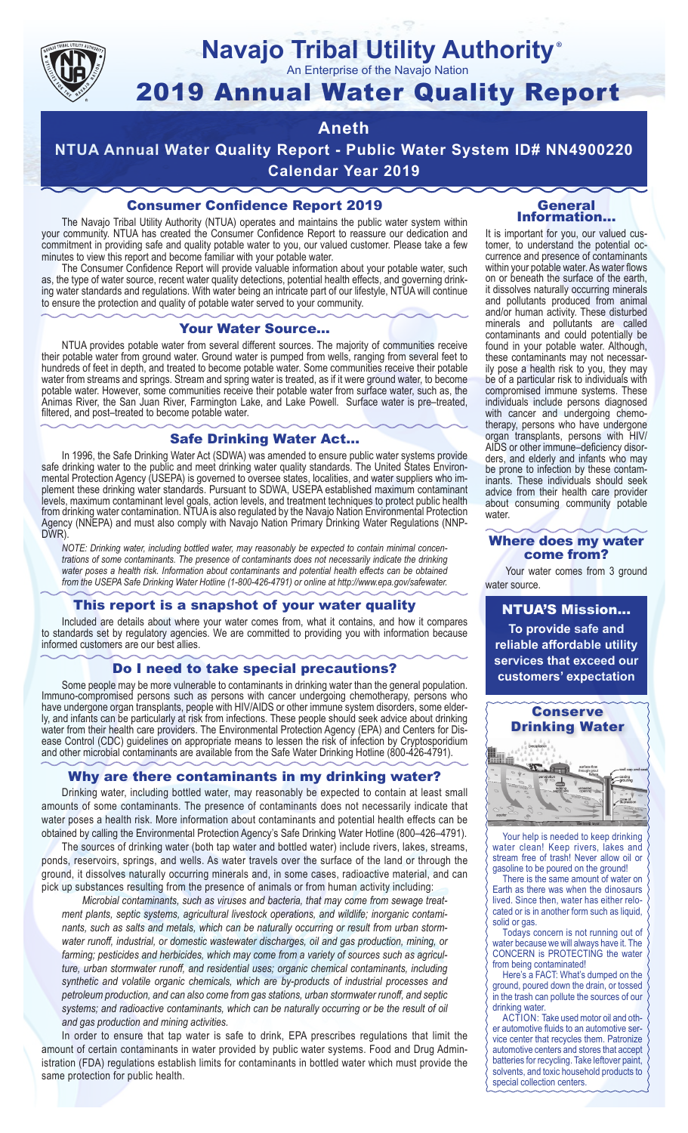

# **Navajo Tribal Utility Authority** ®

An Enterprise of the Navajo Nation

# 2019 Annual Water Quality Report

# **Aneth**

**NTUA Annual Water Quality Report - Public Water System ID# NN4900220 Calendar Year 2019**

# Consumer Confidence Report 2019

The Navajo Tribal Utility Authority (NTUA) operates and maintains the public water system within your community. NTUA has created the Consumer Confidence Report to reassure our dedication and commitment in providing safe and quality potable water to you, our valued customer. Please take a few minutes to view this report and become familiar with your potable water.

The Consumer Confidence Report will provide valuable information about your potable water, such as, the type of water source, recent water quality detections, potential health effects, and governing drinking water standards and regulations. With water being an intricate part of our lifestyle, NTUA will continue to ensure the protection and quality of potable water served to your community.

#### Your Water Source…

NTUA provides potable water from several different sources. The majority of communities receive their potable water from ground water. Ground water is pumped from wells, ranging from several feet to hundreds of feet in depth, and treated to become potable water. Some communities receive their potable water from streams and springs. Stream and spring water is treated, as if it were ground water, to become potable water. However, some communities receive their potable water from surface water, such as, the Animas River, the San Juan River, Farmington Lake, and Lake Powell. Surface water is pre–treated, filtered, and post–treated to become potable water.

### Safe Drinking Water Act…

In 1996, the Safe Drinking Water Act (SDWA) was amended to ensure public water systems provide safe drinking water to the public and meet drinking water quality standards. The United States Environmental Protection Agency (USEPA) is governed to oversee states, localities, and water suppliers who implement these drinking water standards. Pursuant to SDWA, USEPA established maximum contaminant levels, maximum contaminant level goals, action levels, and treatment techniques to protect public health from drinking water contamination. NTUA is also regulated by the Navajo Nation Environmental Protection Agency (NNEPA) and must also comply with Navajo Nation Primary Drinking Water Regulations (NNP-DWR)

*NOTE: Drinking water, including bottled water, may reasonably be expected to contain minimal concentrations of some contaminants. The presence of contaminants does not necessarily indicate the drinking water poses a health risk. Information about contaminants and potential health effects can be obtained from the USEPA Safe Drinking Water Hotline (1-800-426-4791) or online at http://www.epa.gov/safewater.*

# This report is a snapshot of your water quality

Included are details about where your water comes from, what it contains, and how it compares to standards set by regulatory agencies. We are committed to providing you with information because informed customers are our best allies.

### Do I need to take special precautions?

Some people may be more vulnerable to contaminants in drinking water than the general population. Immuno-compromised persons such as persons with cancer undergoing chemotherapy, persons who have undergone organ transplants, people with HIV/AIDS or other immune system disorders, some elderly, and infants can be particularly at risk from infections. These people should seek advice about drinking water from their health care providers. The Environmental Protection Agency (EPA) and Centers for Disease Control (CDC) guidelines on appropriate means to lessen the risk of infection by Cryptosporidium and other microbial contaminants are available from the Safe Water Drinking Hotline (800-426-4791).

# Why are there contaminants in my drinking water?

Drinking water, including bottled water, may reasonably be expected to contain at least small amounts of some contaminants. The presence of contaminants does not necessarily indicate that water poses a health risk. More information about contaminants and potential health effects can be obtained by calling the Environmental Protection Agency's Safe Drinking Water Hotline (800–426–4791).

The sources of drinking water (both tap water and bottled water) include rivers, lakes, streams, ponds, reservoirs, springs, and wells. As water travels over the surface of the land or through the ground, it dissolves naturally occurring minerals and, in some cases, radioactive material, and can pick up substances resulting from the presence of animals or from human activity including:

*Microbial contaminants, such as viruses and bacteria, that may come from sewage treatment plants, septic systems, agricultural livestock operations, and wildlife; inorganic contaminants, such as salts and metals, which can be naturally occurring or result from urban stormwater runoff, industrial, or domestic wastewater discharges, oil and gas production, mining, or farming; pesticides and herbicides, which may come from a variety of sources such as agriculture, urban stormwater runoff, and residential uses; organic chemical contaminants, including synthetic and volatile organic chemicals, which are by-products of industrial processes and petroleum production, and can also come from gas stations, urban stormwater runoff, and septic systems; and radioactive contaminants, which can be naturally occurring or be the result of oil and gas production and mining activities.*

In order to ensure that tap water is safe to drink, EPA prescribes regulations that limit the amount of certain contaminants in water provided by public water systems. Food and Drug Administration (FDA) regulations establish limits for contaminants in bottled water which must provide the same protection for public health.

#### General Information…

It is important for you, our valued customer, to understand the potential occurrence and presence of contaminants within your potable water. As water flows on or beneath the surface of the earth, it dissolves naturally occurring minerals and pollutants produced from animal and/or human activity. These disturbed minerals and pollutants are called contaminants and could potentially be found in your potable water. Although, these contaminants may not necessarily pose a health risk to you, they may be of a particular risk to individuals with compromised immune systems. These individuals include persons diagnosed with cancer and undergoing chemo-<br>therapy, persons who have undergone organ transplants, persons with HIV/ AIDS or other immune–deficiency disor- ders, and elderly and infants who may be prone to infection by these contam- inants. These individuals should seek advice from their health care provider about consuming community potable water.

#### Where does my water come from?

Your water comes from 3 ground water source.

NTUA'S Mission... **To provide safe and reliable affordable utility services that exceed our customers' expectation**



Your help is needed to keep drinking water clean! Keep rivers, lakes and stream free of trash! Never allow oil or gasoline to be poured on the ground!

There is the same amount of water on Earth as there was when the dinosaurs lived. Since then, water has either relocated or is in another form such as liquid, solid or gas.

Todays concern is not running out of water because we will always have it. The CONCERN is PROTECTING the water from being contaminated!

Here's a FACT: What's dumped on the ground, poured down the drain, or tossed in the trash can pollute the sources of our drinking water.

ACTION: Take used motor oil and other automotive fluids to an automotive service center that recycles them. Patronize automotive centers and stores that accept batteries for recycling. Take leftover paint, solvents, and toxic household products to special collection centers.